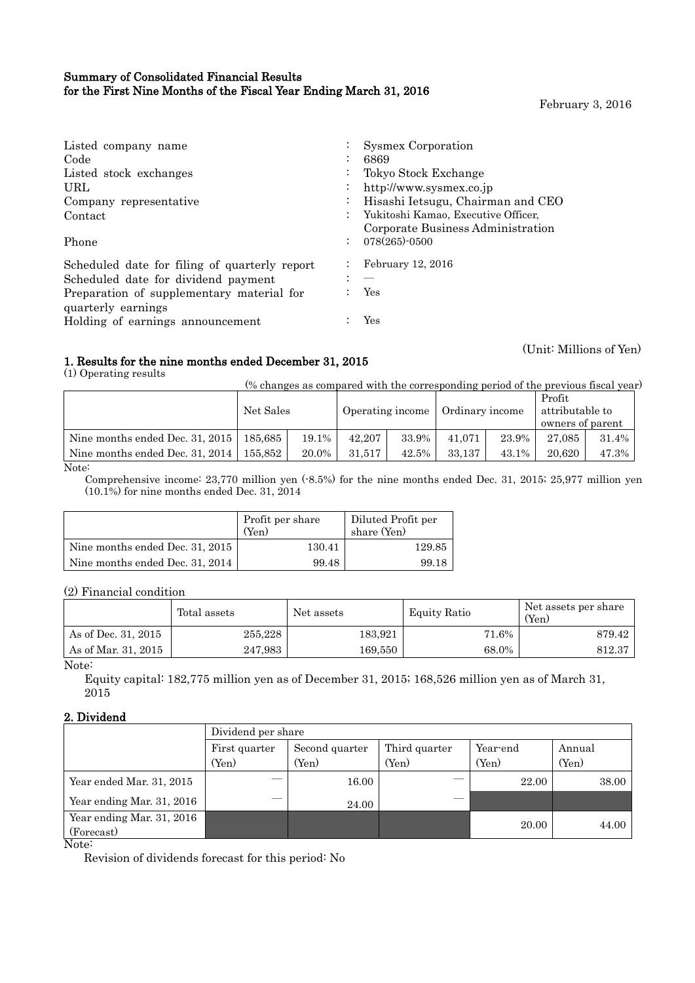## Summary of Consolidated Financial Results for the First Nine Months of the Fiscal Year Ending March 31, 2016

February 3, 2016

(Unit: Millions of Yen)

| Listed company name                           | <b>Sysmex Corporation</b>           |
|-----------------------------------------------|-------------------------------------|
| Code                                          | 6869                                |
| Listed stock exchanges                        | Tokyo Stock Exchange                |
| URL                                           | http://www.sysmex.co.jp             |
| Company representative                        | Hisashi Ietsugu, Chairman and CEO   |
| Contact                                       | Yukitoshi Kamao, Executive Officer, |
|                                               | Corporate Business Administration   |
| Phone                                         | 078(265)-0500<br>$\mathcal{L}$      |
| Scheduled date for filing of quarterly report | February 12, 2016                   |
| Scheduled date for dividend payment           |                                     |
| Preparation of supplementary material for     | Yes                                 |
| quarterly earnings                            |                                     |
| Holding of earnings announcement              | Yes                                 |

## 1. Results for the nine months ended December 31, 2015

(1) Operating results

(% changes as compared with the corresponding period of the previous fiscal year)

| Net Sales                                   |       | Operating income |       | Ordinary income |       | Profit<br>attributable to<br>owners of parent |       |
|---------------------------------------------|-------|------------------|-------|-----------------|-------|-----------------------------------------------|-------|
| Nine months ended Dec. 31, 2015   $185,685$ | 19.1% | 42.207           | 33.9% | 41.071          | 23.9% | 27.085                                        | 31.4% |
| 155.852                                     | 20.0% | 31.517           | 42.5% | 33.137          | 43.1% | 20.620                                        | 47.3% |
|                                             |       |                  |       |                 |       |                                               |       |

Note:

Comprehensive income: 23,770 million yen (-8.5%) for the nine months ended Dec. 31, 2015; 25,977 million yen (10.1%) for nine months ended Dec. 31, 2014

|                                 | Profit per share<br>$(Y_{en})$ | Diluted Profit per<br>share (Yen) |
|---------------------------------|--------------------------------|-----------------------------------|
| Nine months ended Dec. 31, 2015 | 130.41                         | 129.85                            |
| Nine months ended Dec. 31, 2014 | 99.48                          | 99.18                             |

(2) Financial condition

|                           | Total assets | Net assets | Equity Ratio | Net assets per share<br>$Y_{\rm en}$ |
|---------------------------|--------------|------------|--------------|--------------------------------------|
| As of Dec. 31, 2015       | 255.228      | 183,921    | 71.6%        | 879.42                               |
| As of Mar. 31, 2015       | 247,983      | 169,550    | 68.0%        | 812.37                               |
| $\mathbf{r}$ $\mathbf{r}$ |              |            |              |                                      |

Note:

Equity capital: 182,775 million yen as of December 31, 2015; 168,526 million yen as of March 31, 2015

#### 2. Dividend

|                              | Dividend per share |                |               |          |        |  |  |  |
|------------------------------|--------------------|----------------|---------------|----------|--------|--|--|--|
|                              | First quarter      | Second quarter | Third quarter | Year-end | Annual |  |  |  |
|                              | (Yen)              | (Yen)          | (Yen)         | (Yen)    | (Yen)  |  |  |  |
| Year ended Mar. 31, 2015     |                    | 16.00          |               | 22.00    | 38.00  |  |  |  |
| Year ending Mar. 31, 2016    |                    | 24.00          |               |          |        |  |  |  |
| Year ending Mar. 31, 2016    |                    |                |               | 20.00    | 44.00  |  |  |  |
| (Forecast)<br>$N_{0}+\alpha$ |                    |                |               |          |        |  |  |  |

Note:

Revision of dividends forecast for this period: No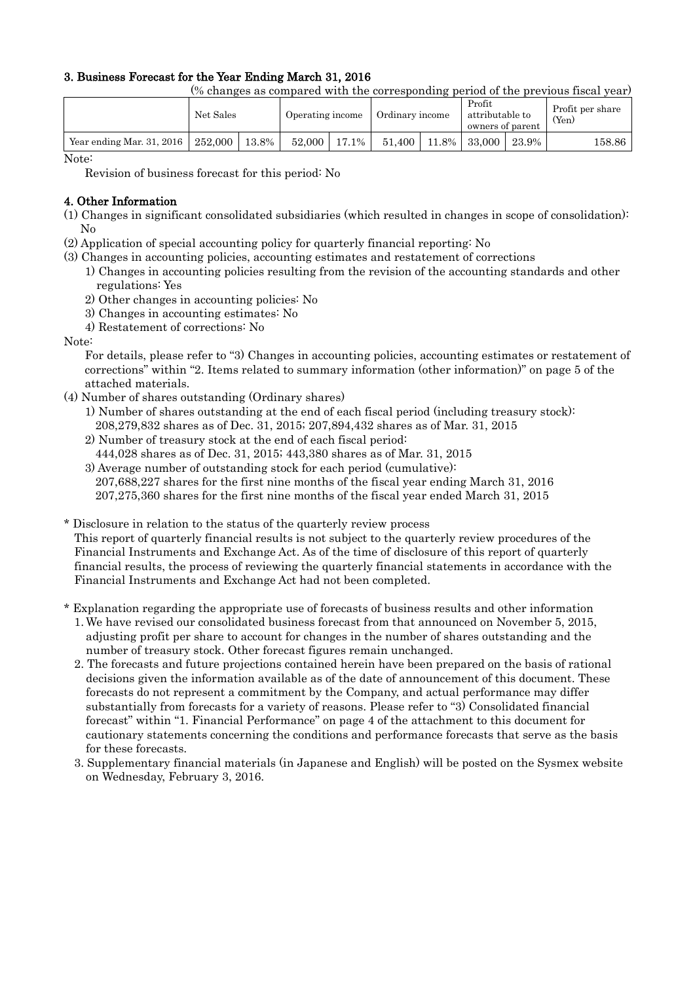## 3. Business Forecast for the Year Ending March 31, 2016

(% changes as compared with the corresponding period of the previous fiscal year)

|                           | Net Sales |       |        | Operating income | Ordinary income |       | Profit<br>attributable to<br>owners of parent |       | Profit per share<br>$(Y_{en})$ |
|---------------------------|-----------|-------|--------|------------------|-----------------|-------|-----------------------------------------------|-------|--------------------------------|
| Year ending Mar. 31, 2016 | 252,000   | 13.8% | 52,000 | 17.1%            | 51.400          | 11.8% | 33,000                                        | 23.9% | 158.86                         |

Note:

Revision of business forecast for this period: No

### 4. Other Information

- (1) Changes in significant consolidated subsidiaries (which resulted in changes in scope of consolidation): No
- (2) Application of special accounting policy for quarterly financial reporting: No
- (3) Changes in accounting policies, accounting estimates and restatement of corrections
	- 1) Changes in accounting policies resulting from the revision of the accounting standards and other regulations: Yes
	- 2) Other changes in accounting policies: No
	- 3) Changes in accounting estimates: No
	- 4) Restatement of corrections: No

#### Note:

For details, please refer to "3) Changes in accounting policies, accounting estimates or restatement of corrections" within "2. Items related to summary information (other information)" on page 5 of the attached materials.

- (4) Number of shares outstanding (Ordinary shares)
	- 1) Number of shares outstanding at the end of each fiscal period (including treasury stock): 208,279,832 shares as of Dec. 31, 2015; 207,894,432 shares as of Mar. 31, 2015
	- 2) Number of treasury stock at the end of each fiscal period:
		- 444,028 shares as of Dec. 31, 2015; 443,380 shares as of Mar. 31, 2015
	- 3) Average number of outstanding stock for each period (cumulative): 207,688,227 shares for the first nine months of the fiscal year ending March 31, 2016 207,275,360 shares for the first nine months of the fiscal year ended March 31, 2015

\* Disclosure in relation to the status of the quarterly review process

This report of quarterly financial results is not subject to the quarterly review procedures of the Financial Instruments and Exchange Act. As of the time of disclosure of this report of quarterly financial results, the process of reviewing the quarterly financial statements in accordance with the Financial Instruments and Exchange Act had not been completed.

\* Explanation regarding the appropriate use of forecasts of business results and other information

- 1. We have revised our consolidated business forecast from that announced on November 5, 2015, adjusting profit per share to account for changes in the number of shares outstanding and the number of treasury stock. Other forecast figures remain unchanged.
- 2. The forecasts and future projections contained herein have been prepared on the basis of rational decisions given the information available as of the date of announcement of this document. These forecasts do not represent a commitment by the Company, and actual performance may differ substantially from forecasts for a variety of reasons. Please refer to "3) Consolidated financial forecast" within "1. Financial Performance" on page 4 of the attachment to this document for cautionary statements concerning the conditions and performance forecasts that serve as the basis for these forecasts.
- 3. Supplementary financial materials (in Japanese and English) will be posted on the Sysmex website on Wednesday, February 3, 2016.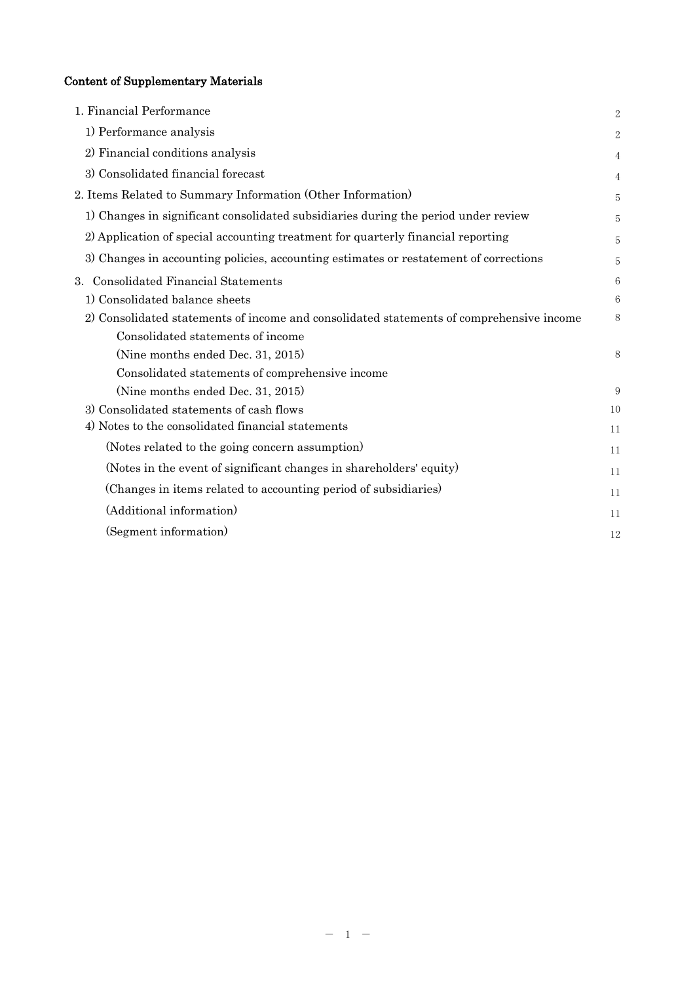# Content of Supplementary Materials

| 1. Financial Performance                                                                 | $\overline{2}$ |
|------------------------------------------------------------------------------------------|----------------|
| 1) Performance analysis                                                                  | 2              |
| 2) Financial conditions analysis                                                         | 4              |
| 3) Consolidated financial forecast                                                       |                |
| 2. Items Related to Summary Information (Other Information)                              | 5              |
| 1) Changes in significant consolidated subsidiaries during the period under review       | 5              |
| 2) Application of special accounting treatment for quarterly financial reporting         | 5              |
| 3) Changes in accounting policies, accounting estimates or restatement of corrections    | 5              |
| 3. Consolidated Financial Statements                                                     | 6              |
| 1) Consolidated balance sheets                                                           | 6              |
| 2) Consolidated statements of income and consolidated statements of comprehensive income | 8              |
| Consolidated statements of income                                                        |                |
| (Nine months ended Dec. 31, 2015)                                                        | 8              |
| Consolidated statements of comprehensive income                                          |                |
| (Nine months ended Dec. 31, 2015)                                                        | 9              |
| 3) Consolidated statements of cash flows                                                 | 10             |
| 4) Notes to the consolidated financial statements                                        | 11             |
| (Notes related to the going concern assumption)                                          | 11             |
| (Notes in the event of significant changes in shareholders' equity)                      | 11             |
| (Changes in items related to accounting period of subsidiaries)                          | 11             |
| (Additional information)                                                                 | 11             |
| (Segment information)                                                                    | 12             |
|                                                                                          |                |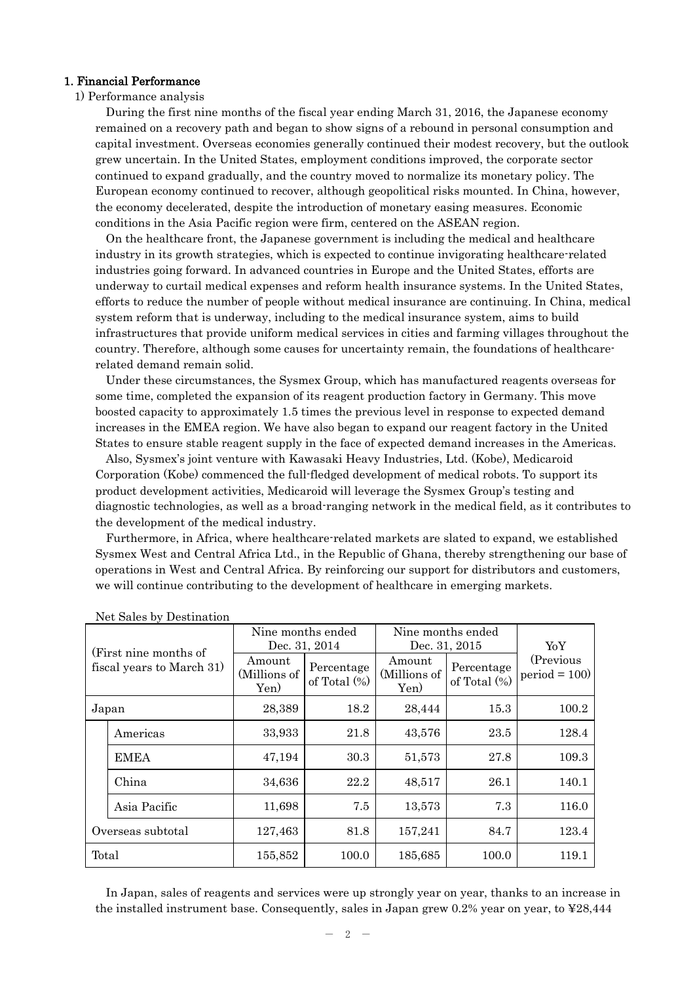#### 1. Financial Performance

## 1) Performance analysis

During the first nine months of the fiscal year ending March 31, 2016, the Japanese economy remained on a recovery path and began to show signs of a rebound in personal consumption and capital investment. Overseas economies generally continued their modest recovery, but the outlook grew uncertain. In the United States, employment conditions improved, the corporate sector continued to expand gradually, and the country moved to normalize its monetary policy. The European economy continued to recover, although geopolitical risks mounted. In China, however, the economy decelerated, despite the introduction of monetary easing measures. Economic conditions in the Asia Pacific region were firm, centered on the ASEAN region.

On the healthcare front, the Japanese government is including the medical and healthcare industry in its growth strategies, which is expected to continue invigorating healthcare-related industries going forward. In advanced countries in Europe and the United States, efforts are underway to curtail medical expenses and reform health insurance systems. In the United States, efforts to reduce the number of people without medical insurance are continuing. In China, medical system reform that is underway, including to the medical insurance system, aims to build infrastructures that provide uniform medical services in cities and farming villages throughout the country. Therefore, although some causes for uncertainty remain, the foundations of healthcarerelated demand remain solid.

Under these circumstances, the Sysmex Group, which has manufactured reagents overseas for some time, completed the expansion of its reagent production factory in Germany. This move boosted capacity to approximately 1.5 times the previous level in response to expected demand increases in the EMEA region. We have also began to expand our reagent factory in the United States to ensure stable reagent supply in the face of expected demand increases in the Americas.

Also, Sysmex's joint venture with Kawasaki Heavy Industries, Ltd. (Kobe), Medicaroid Corporation (Kobe) commenced the full-fledged development of medical robots. To support its product development activities, Medicaroid will leverage the Sysmex Group's testing and diagnostic technologies, as well as a broad-ranging network in the medical field, as it contributes to the development of the medical industry.

Furthermore, in Africa, where healthcare-related markets are slated to expand, we established Sysmex West and Central Africa Ltd., in the Republic of Ghana, thereby strengthening our base of operations in West and Central Africa. By reinforcing our support for distributors and customers, we will continue contributing to the development of healthcare in emerging markets.

| (First nine months of<br>fiscal years to March 31) |                   | Nine months ended<br>Dec. 31, 2014 |                               | Nine months ended<br>Dec. 31, 2015 | YoY                           |                              |
|----------------------------------------------------|-------------------|------------------------------------|-------------------------------|------------------------------------|-------------------------------|------------------------------|
|                                                    |                   | Amount<br>(Millions of<br>Yen)     | Percentage<br>of Total $(\%)$ | Amount<br>(Millions of<br>Yen)     | Percentage<br>of Total $(\%)$ | (Previous)<br>$period = 100$ |
|                                                    | Japan             | 28,389                             | 18.2                          | 28,444                             | 15.3                          | 100.2                        |
|                                                    | Americas          | 33,933                             | 21.8                          | 43,576                             | 23.5                          | 128.4                        |
|                                                    | <b>EMEA</b>       | 47,194                             | 30.3                          | 51,573                             | 27.8                          | 109.3                        |
|                                                    | China             | 34,636                             | 22.2                          | 48,517                             | 26.1                          | 140.1                        |
|                                                    | Asia Pacific      | 11,698                             | 7.5                           | 13,573                             | 7.3                           | 116.0                        |
|                                                    | Overseas subtotal | 127,463                            | 81.8                          | 157,241                            | 84.7                          | 123.4                        |
| Total                                              |                   | 155,852                            | 100.0                         | 185,685                            | 100.0                         | 119.1                        |

Net Sales by Destination

In Japan, sales of reagents and services were up strongly year on year, thanks to an increase in the installed instrument base. Consequently, sales in Japan grew 0.2% year on year, to ¥28,444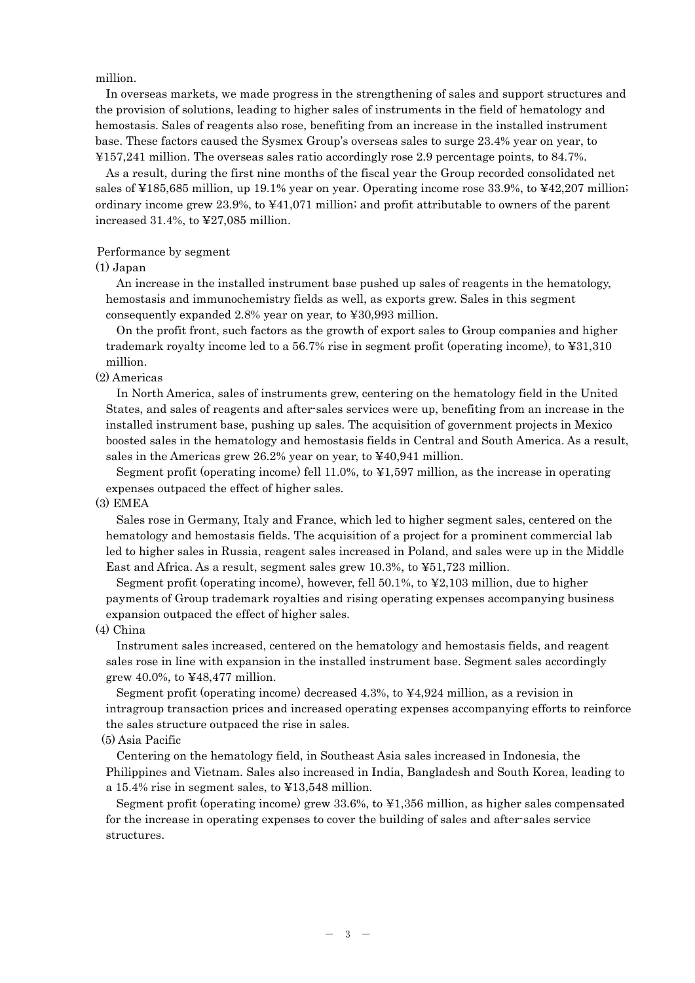million.

In overseas markets, we made progress in the strengthening of sales and support structures and the provision of solutions, leading to higher sales of instruments in the field of hematology and hemostasis. Sales of reagents also rose, benefiting from an increase in the installed instrument base. These factors caused the Sysmex Group's overseas sales to surge 23.4% year on year, to ¥157,241 million. The overseas sales ratio accordingly rose 2.9 percentage points, to 84.7%.

As a result, during the first nine months of the fiscal year the Group recorded consolidated net sales of ¥185,685 million, up 19.1% year on year. Operating income rose 33.9%, to ¥42,207 million; ordinary income grew 23.9%, to ¥41,071 million; and profit attributable to owners of the parent increased 31.4%, to ¥27,085 million.

#### Performance by segment

(1) Japan

An increase in the installed instrument base pushed up sales of reagents in the hematology, hemostasis and immunochemistry fields as well, as exports grew. Sales in this segment consequently expanded 2.8% year on year, to ¥30,993 million.

On the profit front, such factors as the growth of export sales to Group companies and higher trademark royalty income led to a 56.7% rise in segment profit (operating income), to ¥31,310 million.

(2) Americas

In North America, sales of instruments grew, centering on the hematology field in the United States, and sales of reagents and after-sales services were up, benefiting from an increase in the installed instrument base, pushing up sales. The acquisition of government projects in Mexico boosted sales in the hematology and hemostasis fields in Central and South America. As a result, sales in the Americas grew 26.2% year on year, to ¥40,941 million.

Segment profit (operating income) fell 11.0%, to ¥1,597 million, as the increase in operating expenses outpaced the effect of higher sales.

(3) EMEA

Sales rose in Germany, Italy and France, which led to higher segment sales, centered on the hematology and hemostasis fields. The acquisition of a project for a prominent commercial lab led to higher sales in Russia, reagent sales increased in Poland, and sales were up in the Middle East and Africa. As a result, segment sales grew 10.3%, to ¥51,723 million.

Segment profit (operating income), however, fell 50.1%, to ¥2,103 million, due to higher payments of Group trademark royalties and rising operating expenses accompanying business expansion outpaced the effect of higher sales.

(4) China

Instrument sales increased, centered on the hematology and hemostasis fields, and reagent sales rose in line with expansion in the installed instrument base. Segment sales accordingly grew 40.0%, to  $\textless 48,477$  million.

Segment profit (operating income) decreased 4.3%, to ¥4,924 million, as a revision in intragroup transaction prices and increased operating expenses accompanying efforts to reinforce the sales structure outpaced the rise in sales.

#### (5) Asia Pacific

Centering on the hematology field, in Southeast Asia sales increased in Indonesia, the Philippines and Vietnam. Sales also increased in India, Bangladesh and South Korea, leading to a 15.4% rise in segment sales, to ¥13,548 million.

Segment profit (operating income) grew 33.6%, to ¥1,356 million, as higher sales compensated for the increase in operating expenses to cover the building of sales and after-sales service structures.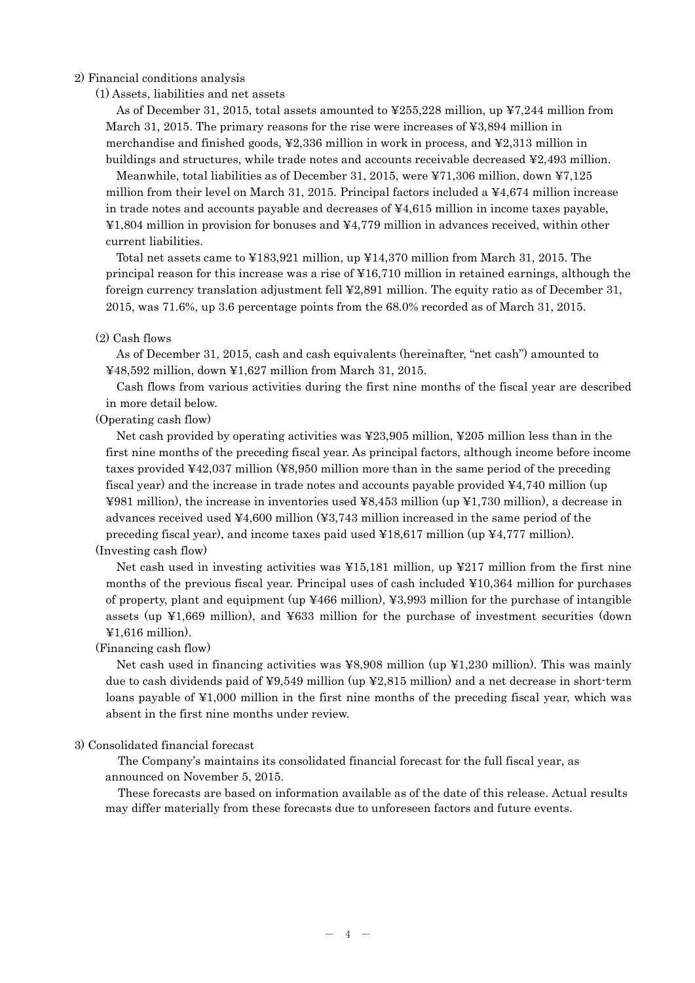#### 2) Financial conditions analysis

(1) Assets, liabilities and net assets

As of December 31, 2015, total assets amounted to ¥255,228 million, up ¥7,244 million from March 31, 2015. The primary reasons for the rise were increases of ¥3,894 million in merchandise and finished goods, ¥2,336 million in work in process, and ¥2,313 million in buildings and structures, while trade notes and accounts receivable decreased ¥2,493 million.

Meanwhile, total liabilities as of December 31, 2015, were ¥71,306 million, down ¥7,125 million from their level on March 31, 2015. Principal factors included a  $\frac{1}{4}4,674$  million increase in trade notes and accounts payable and decreases of  $44,615$  million in income taxes payable, ¥1,804 million in provision for bonuses and ¥4,779 million in advances received, within other current liabilities.

Total net assets came to ¥183,921 million, up ¥14,370 million from March 31, 2015. The principal reason for this increase was a rise of ¥16,710 million in retained earnings, although the foreign currency translation adjustment fell ¥2,891 million. The equity ratio as of December 31, 2015, was 71.6%, up 3.6 percentage points from the 68.0% recorded as of March 31, 2015.

#### (2) Cash flows

As of December 31, 2015, cash and cash equivalents (hereinafter, "net cash") amounted to ¥48,592 million, down ¥1,627 million from March 31, 2015.

Cash flows from various activities during the first nine months of the fiscal year are described in more detail below.

(Operating cash flow)

Net cash provided by operating activities was ¥23,905 million, ¥205 million less than in the first nine months of the preceding fiscal year. As principal factors, although income before income taxes provided ¥42,037 million (¥8,950 million more than in the same period of the preceding fiscal year) and the increase in trade notes and accounts payable provided ¥4,740 million (up ¥981 million), the increase in inventories used ¥8,453 million (up ¥1,730 million), a decrease in advances received used ¥4,600 million (¥3,743 million increased in the same period of the preceding fiscal year), and income taxes paid used  $\text{\textsterling}18,617$  million (up  $\text{\textsterling}4,777$  million).

(Investing cash flow)

Net cash used in investing activities was  $\frac{15,181}{2}$  million, up  $\frac{1217}{2}$  million from the first nine months of the previous fiscal year. Principal uses of cash included ¥10,364 million for purchases of property, plant and equipment (up  $\text{\textsterling}466$  million),  $\text{\textsterling}3,993$  million for the purchase of intangible assets (up  $\yen$ 1,669 million), and  $\yen$ 633 million for the purchase of investment securities (down ¥1,616 million).

#### (Financing cash flow)

Net cash used in financing activities was  $\frac{1}{2}8,908$  million (up  $\frac{1}{2}1,230$  million). This was mainly due to cash dividends paid of ¥9,549 million (up ¥2,815 million) and a net decrease in short-term loans payable of ¥1,000 million in the first nine months of the preceding fiscal year, which was absent in the first nine months under review.

3) Consolidated financial forecast

The Company's maintains its consolidated financial forecast for the full fiscal year, as announced on November 5, 2015.

These forecasts are based on information available as of the date of this release. Actual results may differ materially from these forecasts due to unforeseen factors and future events.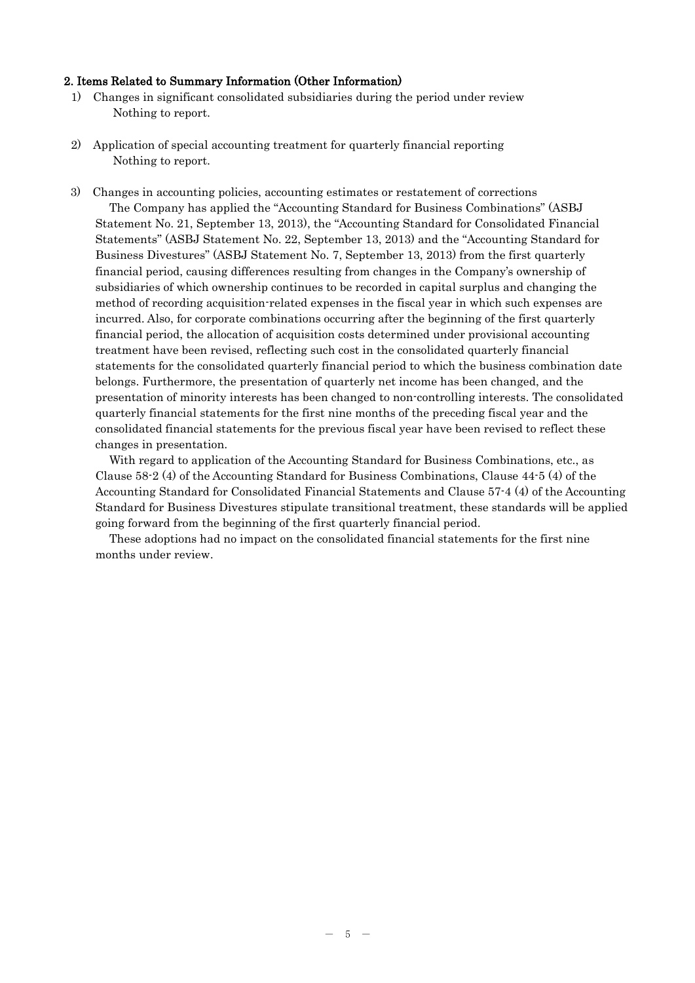#### 2. Items Related to Summary Information (Other Information)

- 1) Changes in significant consolidated subsidiaries during the period under review Nothing to report.
- 2) Application of special accounting treatment for quarterly financial reporting Nothing to report.
- 3) Changes in accounting policies, accounting estimates or restatement of corrections The Company has applied the "Accounting Standard for Business Combinations" (ASBJ Statement No. 21, September 13, 2013), the "Accounting Standard for Consolidated Financial Statements" (ASBJ Statement No. 22, September 13, 2013) and the "Accounting Standard for Business Divestures" (ASBJ Statement No. 7, September 13, 2013) from the first quarterly financial period, causing differences resulting from changes in the Company's ownership of subsidiaries of which ownership continues to be recorded in capital surplus and changing the method of recording acquisition-related expenses in the fiscal year in which such expenses are incurred. Also, for corporate combinations occurring after the beginning of the first quarterly financial period, the allocation of acquisition costs determined under provisional accounting treatment have been revised, reflecting such cost in the consolidated quarterly financial statements for the consolidated quarterly financial period to which the business combination date belongs. Furthermore, the presentation of quarterly net income has been changed, and the presentation of minority interests has been changed to non-controlling interests. The consolidated quarterly financial statements for the first nine months of the preceding fiscal year and the consolidated financial statements for the previous fiscal year have been revised to reflect these changes in presentation.

With regard to application of the Accounting Standard for Business Combinations, etc., as Clause 58-2 (4) of the Accounting Standard for Business Combinations, Clause 44-5 (4) of the Accounting Standard for Consolidated Financial Statements and Clause 57-4 (4) of the Accounting Standard for Business Divestures stipulate transitional treatment, these standards will be applied going forward from the beginning of the first quarterly financial period.

These adoptions had no impact on the consolidated financial statements for the first nine months under review.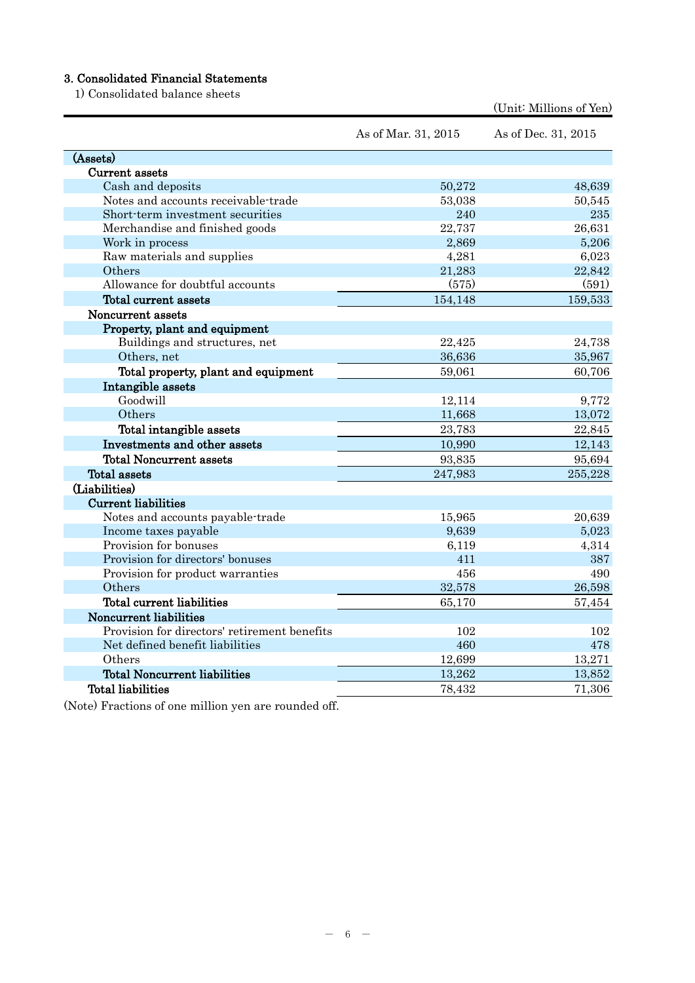# 3. Consolidated Financial Statements

1) Consolidated balance sheets

|                                              | As of Mar. 31, 2015 | As of Dec. 31, 2015 |
|----------------------------------------------|---------------------|---------------------|
| (Assets)                                     |                     |                     |
| Current assets                               |                     |                     |
| Cash and deposits                            | 50,272              | 48,639              |
| Notes and accounts receivable-trade          | 53,038              | 50,545              |
| Short-term investment securities             | 240                 | 235                 |
| Merchandise and finished goods               | 22,737              | 26,631              |
| Work in process                              | 2,869               | 5,206               |
| Raw materials and supplies                   | 4,281               | 6,023               |
| Others                                       | 21,283              | 22,842              |
| Allowance for doubtful accounts              | (575)               | (591)               |
| Total current assets                         | 154,148             | 159,533             |
| Noncurrent assets                            |                     |                     |
| Property, plant and equipment                |                     |                     |
| Buildings and structures, net                | 22,425              | 24,738              |
| Others, net                                  | 36,636              | 35,967              |
| Total property, plant and equipment          | 59,061              | 60,706              |
| Intangible assets                            |                     |                     |
| Goodwill                                     | 12,114              | 9,772               |
| Others                                       | 11,668              | 13,072              |
| Total intangible assets                      | 23,783              | 22,845              |
| Investments and other assets                 | 10,990              | 12,143              |
| <b>Total Noncurrent assets</b>               | 93,835              | 95,694              |
| <b>Total assets</b>                          | 247,983             | 255,228             |
| (Liabilities)                                |                     |                     |
| <b>Current liabilities</b>                   |                     |                     |
| Notes and accounts payable-trade             | 15,965              | 20,639              |
| Income taxes payable                         | 9,639               | 5,023               |
| Provision for bonuses                        | 6,119               | 4,314               |
| Provision for directors' bonuses             | 411                 | 387                 |
| Provision for product warranties             | 456                 | 490                 |
| Others                                       | 32,578              | 26,598              |
| Total current liabilities                    | 65,170              | 57,454              |
| Noncurrent liabilities                       |                     |                     |
| Provision for directors' retirement benefits | 102                 | 102                 |
| Net defined benefit liabilities              | 460                 | 478                 |
| Others                                       | 12,699              | 13,271              |
| <b>Total Noncurrent liabilities</b>          | 13,262              | 13,852              |
| <b>Total liabilities</b>                     | 78,432              | 71,306              |

(Unit: Millions of Yen)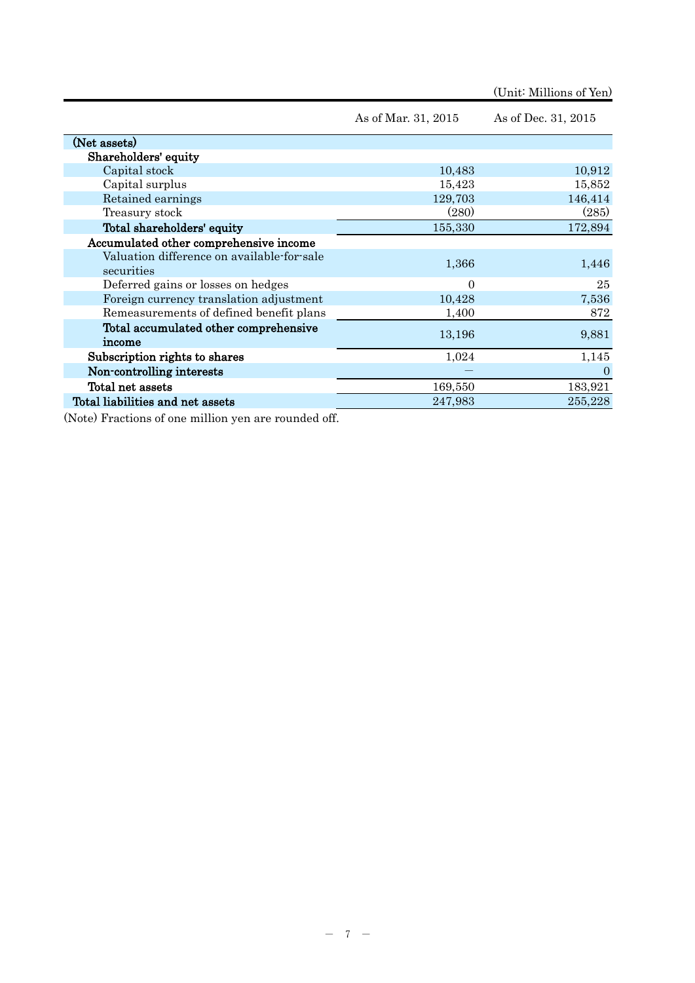|                                                          |                     | (Unit: Millions of Yen) |
|----------------------------------------------------------|---------------------|-------------------------|
|                                                          | As of Mar. 31, 2015 | As of Dec. 31, 2015     |
| (Net assets)                                             |                     |                         |
| Shareholders' equity                                     |                     |                         |
| Capital stock                                            | 10,483              | 10,912                  |
| Capital surplus                                          | 15,423              | 15,852                  |
| Retained earnings                                        | 129,703             | 146,414                 |
| Treasury stock                                           | (280)               | (285)                   |
| Total shareholders' equity                               | 155,330             | 172,894                 |
| Accumulated other comprehensive income                   |                     |                         |
| Valuation difference on available-for-sale<br>securities | 1,366               | 1,446                   |
| Deferred gains or losses on hedges                       | $\Omega$            | 25                      |
| Foreign currency translation adjustment                  | 10,428              | 7,536                   |
| Remeasurements of defined benefit plans                  | 1,400               | 872                     |
| Total accumulated other comprehensive<br>income          | 13,196              | 9,881                   |
| Subscription rights to shares                            | 1,024               | 1,145                   |
| Non-controlling interests                                |                     | $\Omega$                |
| Total net assets                                         | 169,550             | 183,921                 |
| Total liabilities and net assets                         | 247,983             | 255,228                 |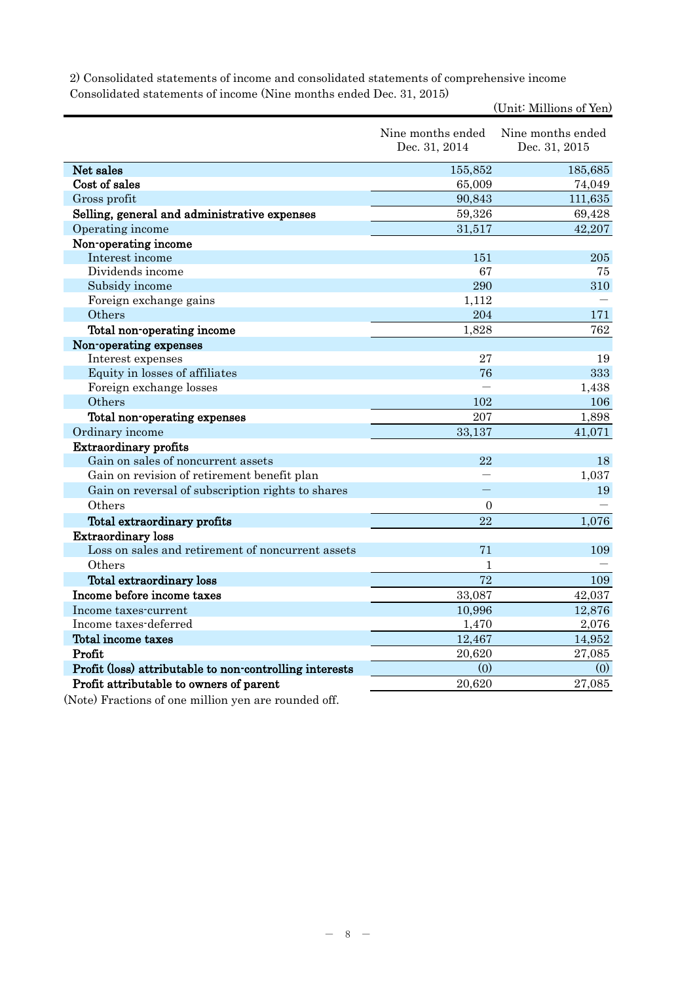| 2) Consolidated statements of income and consolidated statements of comprehensive income |
|------------------------------------------------------------------------------------------|
| Consolidated statements of income (Nine months ended Dec. 31, 2015)                      |

(Unit: Millions of Yen)

|                                                         | Nine months ended<br>Dec. 31, 2014 | Nine months ended<br>Dec. 31, 2015 |
|---------------------------------------------------------|------------------------------------|------------------------------------|
| Net sales                                               | 155,852                            | 185,685                            |
| Cost of sales                                           | 65,009                             | 74,049                             |
| Gross profit                                            | 90,843                             | 111,635                            |
| Selling, general and administrative expenses            | 59,326                             | 69,428                             |
| Operating income                                        | 31,517                             | 42,207                             |
| Non-operating income                                    |                                    |                                    |
| Interest income                                         | 151                                | 205                                |
| Dividends income                                        | 67                                 | 75                                 |
| Subsidy income                                          | 290                                | 310                                |
| Foreign exchange gains                                  | 1,112                              |                                    |
| Others                                                  | 204                                | 171                                |
| Total non-operating income                              | 1,828                              | 762                                |
| Non-operating expenses                                  |                                    |                                    |
| Interest expenses                                       | 27                                 | 19                                 |
| Equity in losses of affiliates                          | 76                                 | 333                                |
| Foreign exchange losses                                 |                                    | 1,438                              |
| Others                                                  | 102                                | 106                                |
| Total non-operating expenses                            | 207                                | 1,898                              |
| Ordinary income                                         | 33,137                             | 41,071                             |
| <b>Extraordinary profits</b>                            |                                    |                                    |
| Gain on sales of noncurrent assets                      | 22                                 | 18                                 |
| Gain on revision of retirement benefit plan             |                                    | 1,037                              |
| Gain on reversal of subscription rights to shares       | 二                                  | 19                                 |
| Others                                                  | $\overline{0}$                     |                                    |
| Total extraordinary profits                             | 22                                 | 1,076                              |
| <b>Extraordinary loss</b>                               |                                    |                                    |
| Loss on sales and retirement of noncurrent assets       | 71                                 | 109                                |
| Others                                                  | $\mathbf{1}$                       |                                    |
| Total extraordinary loss                                | 72                                 | 109                                |
| Income before income taxes                              | 33,087                             | 42,037                             |
| Income taxes-current                                    | 10,996                             | 12,876                             |
| Income taxes-deferred                                   | 1,470                              | 2,076                              |
| Total income taxes                                      | 12,467                             | 14,952                             |
| Profit                                                  | 20,620                             | 27,085                             |
| Profit (loss) attributable to non-controlling interests | (0)                                | (0)                                |
| Profit attributable to owners of parent                 | 20,620                             | 27,085                             |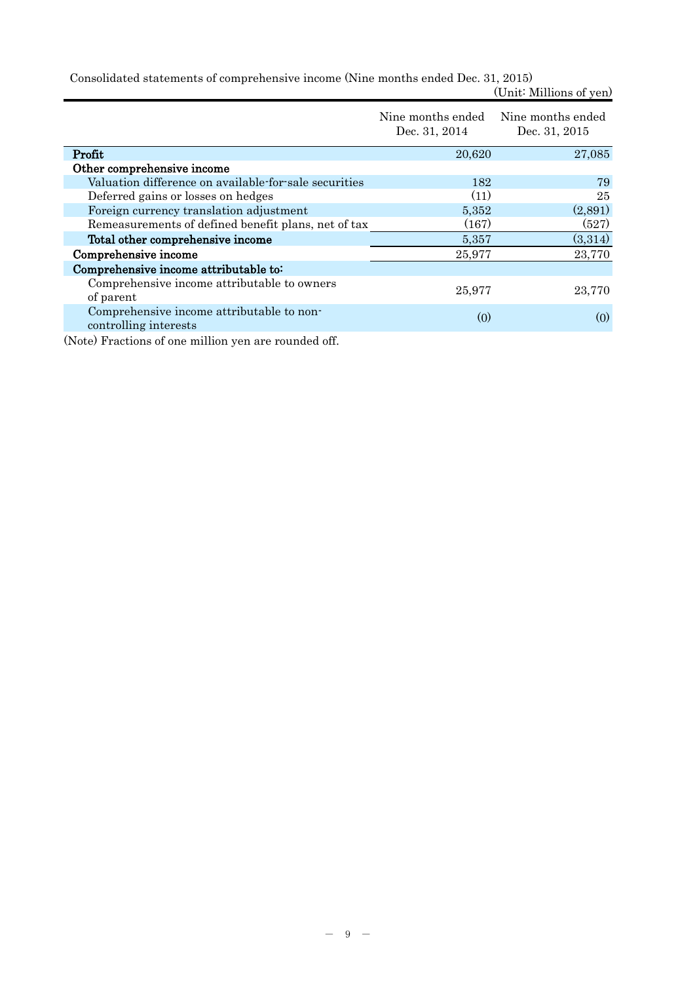Consolidated statements of comprehensive income (Nine months ended Dec. 31, 2015) (Unit: Millions of yen)

|                                                       | Nine months ended Nine months ended<br>Dec. 31, 2014 | Dec. 31, 2015      |
|-------------------------------------------------------|------------------------------------------------------|--------------------|
| Profit                                                | 20,620                                               | 27,085             |
| Other comprehensive income                            |                                                      |                    |
| Valuation difference on available-for-sale securities | 182                                                  | 79                 |
| Deferred gains or losses on hedges                    | (11)                                                 | 25                 |
| Foreign currency translation adjustment               | 5,352                                                | (2,891)            |
| Remeasurements of defined benefit plans, net of tax   | (167)                                                | (527)              |
| Total other comprehensive income                      | 5,357                                                | (3,314)            |
| Comprehensive income                                  | 25,977                                               | 23,770             |
| Comprehensive income attributable to:                 |                                                      |                    |
| Comprehensive income attributable to owners           |                                                      |                    |
| of parent                                             | 25,977                                               | 23,770             |
| Comprehensive income attributable to non-             | (0)                                                  | $\left( 0 \right)$ |
| controlling interests                                 |                                                      |                    |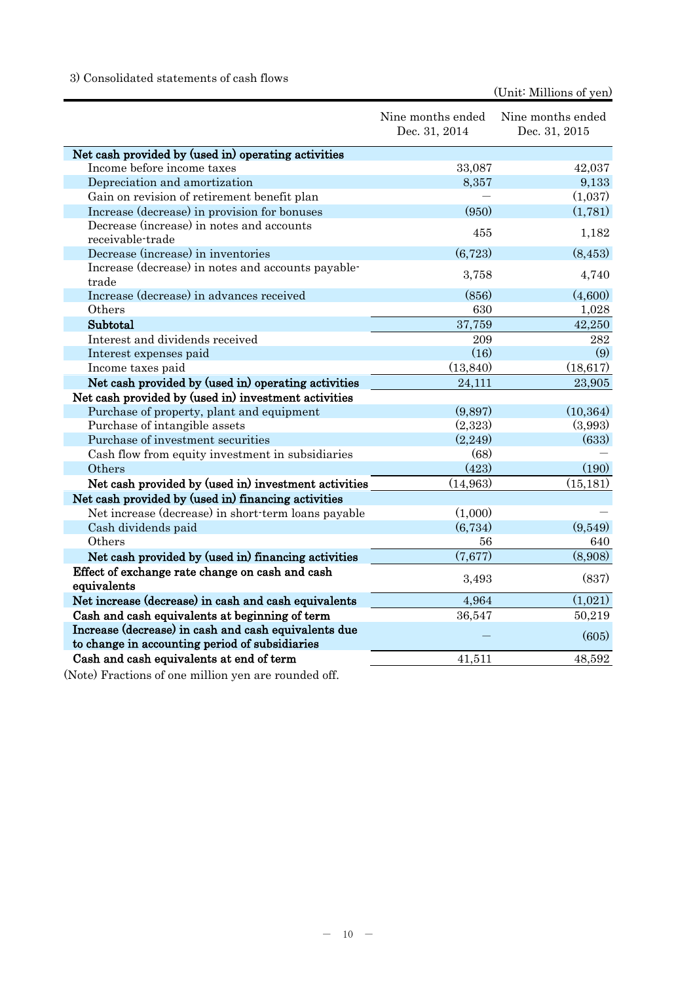# 3) Consolidated statements of cash flows

|                                                      | Nine months ended<br>Dec. 31, 2014 | Nine months ended<br>Dec. 31, 2015 |
|------------------------------------------------------|------------------------------------|------------------------------------|
| Net cash provided by (used in) operating activities  |                                    |                                    |
| Income before income taxes                           | 33,087                             | 42,037                             |
| Depreciation and amortization                        | 8,357                              | 9,133                              |
| Gain on revision of retirement benefit plan          |                                    | (1,037)                            |
| Increase (decrease) in provision for bonuses         | (950)                              | (1,781)                            |
| Decrease (increase) in notes and accounts            | 455                                | 1,182                              |
| receivable-trade                                     |                                    |                                    |
| Decrease (increase) in inventories                   | (6, 723)                           | (8, 453)                           |
| Increase (decrease) in notes and accounts payable-   | 3,758                              | 4,740                              |
| trade                                                |                                    |                                    |
| Increase (decrease) in advances received             | (856)                              | (4,600)                            |
| Others                                               | 630                                | 1,028                              |
| Subtotal                                             | 37,759                             | 42,250                             |
| Interest and dividends received                      | 209                                | 282                                |
| Interest expenses paid                               | (16)                               | (9)                                |
| Income taxes paid                                    | (13, 840)                          | (18, 617)                          |
| Net cash provided by (used in) operating activities  | 24,111                             | 23,905                             |
| Net cash provided by (used in) investment activities |                                    |                                    |
| Purchase of property, plant and equipment            | (9,897)                            | (10, 364)                          |
| Purchase of intangible assets                        | (2,323)                            | (3,993)                            |
| Purchase of investment securities                    | (2,249)                            | (633)                              |
| Cash flow from equity investment in subsidiaries     | (68)                               |                                    |
| Others                                               | (423)                              | (190)                              |
| Net cash provided by (used in) investment activities | (14, 963)                          | (15, 181)                          |
| Net cash provided by (used in) financing activities  |                                    |                                    |
| Net increase (decrease) in short-term loans payable  | (1,000)                            |                                    |
| Cash dividends paid                                  | (6, 734)                           | (9,549)                            |
| Others                                               | 56                                 | 640                                |
| Net cash provided by (used in) financing activities  | (7,677)                            | (8,908)                            |
| Effect of exchange rate change on cash and cash      |                                    |                                    |
| equivalents                                          | 3,493                              | (837)                              |
| Net increase (decrease) in cash and cash equivalents | 4,964                              | (1,021)                            |
| Cash and cash equivalents at beginning of term       | 36,547                             | 50,219                             |
| Increase (decrease) in cash and cash equivalents due |                                    |                                    |
| to change in accounting period of subsidiaries       |                                    | (605)                              |
| Cash and cash equivalents at end of term             | 41.511                             | 48,592                             |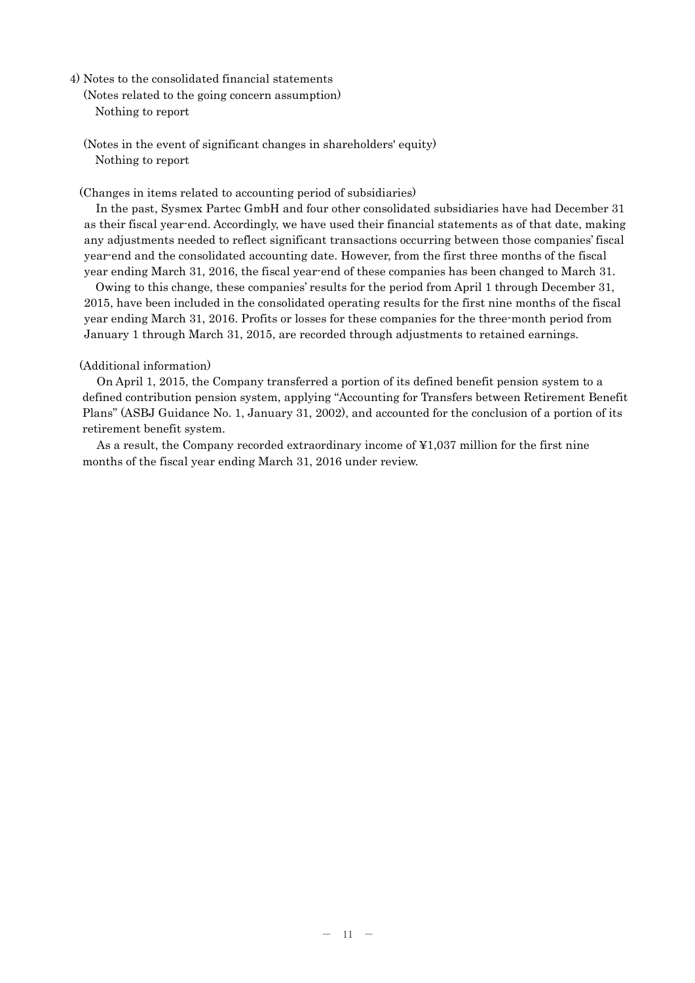- 4) Notes to the consolidated financial statements
	- (Notes related to the going concern assumption) Nothing to report
	- (Notes in the event of significant changes in shareholders' equity) Nothing to report

(Changes in items related to accounting period of subsidiaries)

In the past, Sysmex Partec GmbH and four other consolidated subsidiaries have had December 31 as their fiscal year-end. Accordingly, we have used their financial statements as of that date, making any adjustments needed to reflect significant transactions occurring between those companies' fiscal year-end and the consolidated accounting date. However, from the first three months of the fiscal year ending March 31, 2016, the fiscal year-end of these companies has been changed to March 31.

Owing to this change, these companies' results for the period from April 1 through December 31, 2015, have been included in the consolidated operating results for the first nine months of the fiscal year ending March 31, 2016. Profits or losses for these companies for the three-month period from January 1 through March 31, 2015, are recorded through adjustments to retained earnings.

#### (Additional information)

On April 1, 2015, the Company transferred a portion of its defined benefit pension system to a defined contribution pension system, applying "Accounting for Transfers between Retirement Benefit Plans" (ASBJ Guidance No. 1, January 31, 2002), and accounted for the conclusion of a portion of its retirement benefit system.

As a result, the Company recorded extraordinary income of ¥1,037 million for the first nine months of the fiscal year ending March 31, 2016 under review.